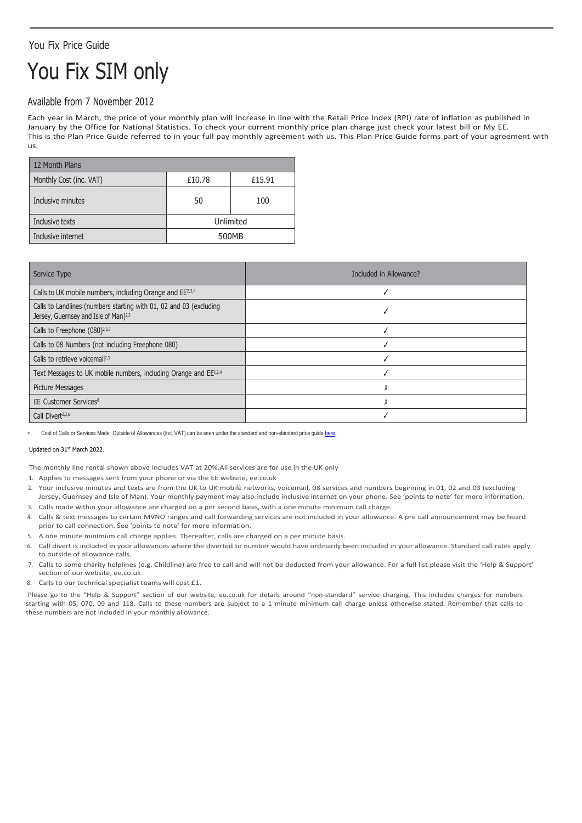## You Fix Price Guide

# You Fix SIM only

### Available from 7 November 2012

Each year in March, the price of your monthly plan will increase in line with the Retail Price Index (RPI) rate of inflation as published in January by the Office for National Statistics. To check your current monthly price plan charge just check your latest bill or My EE. This is the Plan Price Guide referred to in your full pay monthly agreement with us. This Plan Price Guide forms part of your agreement with us.

| 12 Month Plans          |           |        |
|-------------------------|-----------|--------|
| Monthly Cost (inc. VAT) | £10.78    | £15.91 |
| Inclusive minutes       | 50        | 100    |
| Inclusive texts         | Unlimited |        |
| Inclusive internet      | 500MB     |        |

| Service Type                                                                                                           | Included in Allowance? |
|------------------------------------------------------------------------------------------------------------------------|------------------------|
| Calls to UK mobile numbers, including Orange and EE <sup>2,3,4</sup>                                                   |                        |
| Calls to Landlines (numbers starting with 01, 02 and 03 (excluding<br>Jersey, Guernsey and Isle of Man) <sup>2,3</sup> |                        |
| Calls to Freephone (080) <sup>2,3,7</sup>                                                                              |                        |
| Calls to 08 Numbers (not including Freephone 080)                                                                      |                        |
| Calls to retrieve voicemail <sup>2,3</sup>                                                                             |                        |
| Text Messages to UK mobile numbers, including Orange and EE1,2,4                                                       |                        |
| <b>Picture Messages</b>                                                                                                |                        |
| <b>EE Customer Services<sup>8</sup></b>                                                                                |                        |
| Call Divert <sup>2,3,6</sup>                                                                                           |                        |

Cost of Calls or Services Made Outside of Allowances (Inc. VAT) can be seen under the standard and non-standard price guid[e here.](https://ee.co.uk/help/help-new/price-plans/legacy-brand/pay-monthly-price-plans)

#### Updated on 31st March 2022.

The monthly line rental shown above includes VAT at 20%.All services are for use in the UK only

1. Applies to messages sent from your phone or via the EE website, ee.co.uk

- 2. Your inclusive minutes and texts are from the UK to UK mobile networks, voicemail, 08 services and numbers beginning in 01, 02 and 03 (excluding
- Jersey, Guernsey and Isle of Man). Your monthly payment may also include inclusive internet on your phone. See 'points to note' for more information. 3. Calls made within your allowance are charged on a per second basis, with a one minute minimum call charge.
- 4. Calls & text messages to certain MVNO ranges and call forwarding services are not included in your allowance. A pre call announcement may be heard prior to call connection. See 'points to note' for more information.
- 5. A one minute minimum call charge applies. Thereafter, calls are charged on a per minute basis.
- 6. Call divert is included in your allowances where the diverted to number would have ordinarily been included in your allowance. Standard call rates apply to outside of allowance calls.
- 7. Calls to some charity helplines (e.g. Childline) are free to call and will not be deducted from your allowance. For a full list please visit the 'Help & Support' section of our website, ee.co.uk
- 8. Calls to our technical specialist teams will cost £1.

Please go to the "Help & Support" section of our website, ee.co.uk for details around "non-standard" service charging. This includes charges for numbers starting with 05, 070, 09 and 118. Calls to these numbers are subject to a 1 minute minimum call charge unless otherwise stated. Remember that calls to these numbers are not included in your monthly allowance.